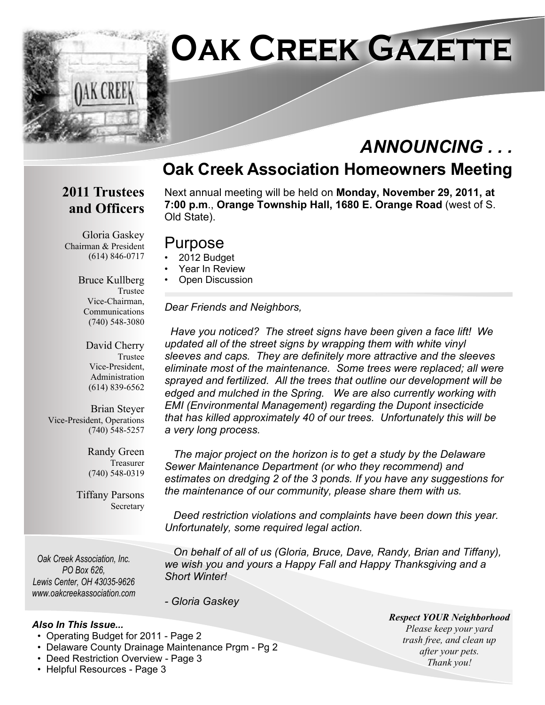

## *ANNOUNCING . . .*

## **Oak Creek Association Homeowners Meeting**

### **2011 Trustees and Officers**

Next annual meeting will be held on **Monday, November 29, 2011, at 7:00 p.m**., **Orange Township Hall, 1680 E. Orange Road** (west of S. Old State).

#### Purpose

- 2012 Budget
- Year In Review
- **Open Discussion**

*Dear Friends and Neighbors,*

 *Have you noticed? The street signs have been given a face lift! We updated all of the street signs by wrapping them with white vinyl sleeves and caps. They are definitely more attractive and the sleeves eliminate most of the maintenance. Some trees were replaced; all were sprayed and fertilized. All the trees that outline our development will be edged and mulched in the Spring. We are also currently working with EMI (Environmental Management) regarding the Dupont insecticide that has killed approximately 40 of our trees. Unfortunately this will be a very long process.*

 *The major project on the horizon is to get a study by the Delaware Sewer Maintenance Department (or who they recommend) and estimates on dredging 2 of the 3 ponds. If you have any suggestions for the maintenance of our community, please share them with us.*

 *Deed restriction violations and complaints have been down this year. Unfortunately, some required legal action.*

*Oak Creek Association, Inc. PO Box 626, Lewis Center, OH 43035-9626 www.oakcreekassociation.com*

 *On behalf of all of us (Gloria, Bruce, Dave, Randy, Brian and Tiffany), we wish you and yours a Happy Fall and Happy Thanksgiving and a Short Winter!*

*- Gloria Gaskey*

#### *Also In This Issue...*

- Operating Budget for 2011 Page 2
- Delaware County Drainage Maintenance Prgm Pg 2
- Deed Restriction Overview Page 3
- Helpful Resources Page 3

*Respect YOUR Neighborhood Please keep your yard trash free, and clean up after your pets. Thank you!*

#### Bruce Kullberg Trustee Vice-Chairman, Communications (740) 548-3080

Gloria Gaskey Chairman & President (614) 846-0717

> David Cherry Trustee Vice-President, Administration (614) 839-6562

Brian Steyer Vice-President, Operations (740) 548-5257

> Randy Green Treasurer (740) 548-0319

Tiffany Parsons **Secretary**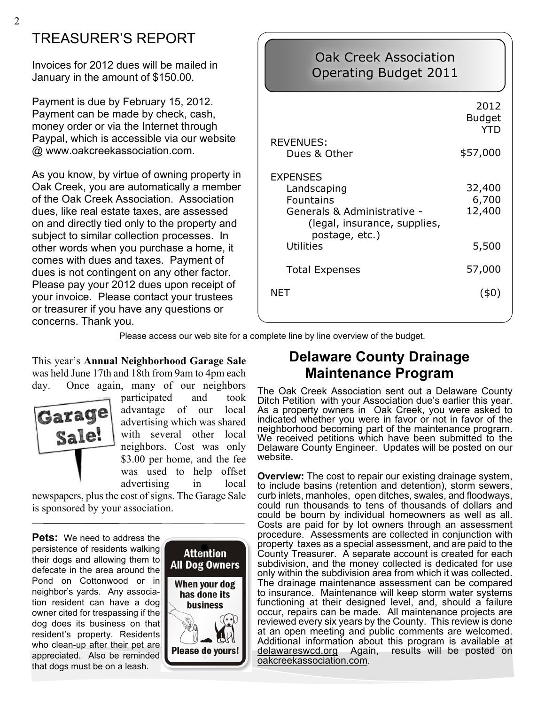## TREASURER'S REPORT

Invoices for 2012 dues will be mailed in January in the amount of \$150.00.

Payment is due by February 15, 2012. Payment can be made by check, cash, money order or via the Internet through Paypal, which is accessible via our website @ www.oakcreekassociation.com.

As you know, by virtue of owning property in Oak Creek, you are automatically a member of the Oak Creek Association. Association dues, like real estate taxes, are assessed on and directly tied only to the property and subject to similar collection processes. In other words when you purchase a home, it comes with dues and taxes. Payment of dues is not contingent on any other factor. Please pay your 2012 dues upon receipt of your invoice. Please contact your trustees or treasurer if you have any questions or concerns. Thank you.

#### 2012 Budget **YTD** \$57,000 32,400 6,700 12,400 5,500 57,000 (\$0) REVENUES: Dues & Other **EXPENSES**  Landscaping Fountains Generals & Administrative - (legal, insurance, supplies, postage, etc.) **Utilities**  Total Expenses NET Oak Creek Association Operating Budget 2011

Please access our web site for a complete line by line overview of the budget.

This year's **Annual Neighborhood Garage Sale** was held June 17th and 18th from 9am to 4pm each day. Once again, many of our neighbors



participated and took advantage of our local advertising which was shared with several other local neighbors. Cost was only \$3.00 per home, and the fee was used to help offset advertising in local

newspapers, plus the cost of signs. The Garage Sale is sponsored by your association.

**Pets:** We need to address the persistence of residents walking their dogs and allowing them to defecate in the area around the Pond on Cottonwood or in neighbor's yards. Any association resident can have a dog owner cited for trespassing if the dog does its business on that resident's property. Residents who clean-up after their pet are appreciated. Also be reminded that dogs must be on a leash.



## **Delaware County Drainage Maintenance Program**

The Oak Creek Association sent out a Delaware County Ditch Petition with your Association due's earlier this year. As a property owners in Oak Creek, you were asked to indicated whether you were in favor or not in favor of the neighborhood becoming part of the maintenance program. We received petitions which have been submitted to the Delaware County Engineer. Updates will be posted on our website.

**Overview:** The cost to repair our existing drainage system, to include basins (retention and detention), storm sewers, curb inlets, manholes, open ditches, swales, and floodways, could run thousands to tens of thousands of dollars and could be bourn by individual homeowners as well as all. Costs are paid for by lot owners through an assessment procedure. Assessments are collected in conjunction with property taxes as a special assessment, and are paid to the County Treasurer. A separate account is created for each subdivision, and the money collected is dedicated for use only within the subdivision area from which it was collected. The drainage maintenance assessment can be compared to insurance. Maintenance will keep storm water systems functioning at their designed level, and, should a failure occur, repairs can be made. All maintenance projects are reviewed every six years by the County. This review is done at an open meeting and public comments are welcomed. Additional information about this program is available at delawareswcd.org Again, results will be posted on results will be posted on oakcreekassociation.com.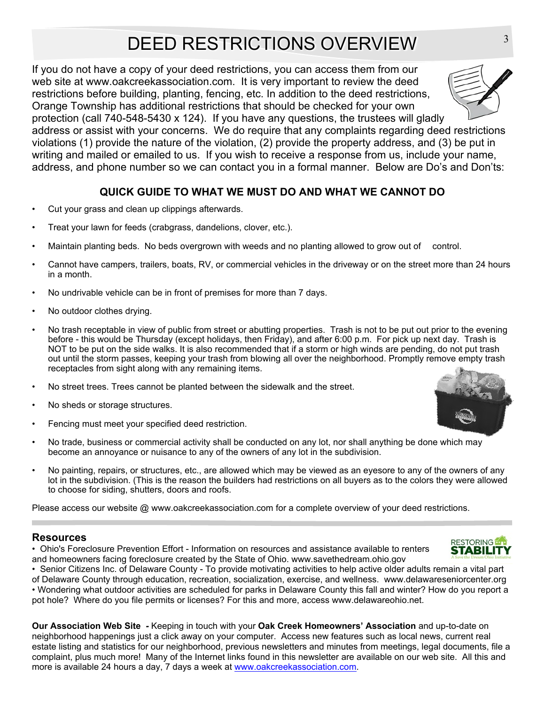# DEED RESTRICTIONS OVERVIEW 3

If you do not have a copy of your deed restrictions, you can access them from our web site at www.oakcreekassociation.com. It is very important to review the deed restrictions before building, planting, fencing, etc. In addition to the deed restrictions, Orange Township has additional restrictions that should be checked for your own

protection (call 740-548-5430 x 124). If you have any questions, the trustees will gladly address or assist with your concerns. We do require that any complaints regarding deed restrictions violations (1) provide the nature of the violation, (2) provide the property address, and (3) be put in writing and mailed or emailed to us. If you wish to receive a response from us, include your name, address, and phone number so we can contact you in a formal manner. Below are Do's and Don'ts:

#### **QUICK GUIDE TO WHAT WE MUST DO AND WHAT WE CANNOT DO**

- Cut your grass and clean up clippings afterwards.
- Treat your lawn for feeds (crabgrass, dandelions, clover, etc.).
- Maintain planting beds. No beds overgrown with weeds and no planting allowed to grow out of control.
- Cannot have campers, trailers, boats, RV, or commercial vehicles in the driveway or on the street more than 24 hours in a month.
- No undrivable vehicle can be in front of premises for more than 7 days.
- No outdoor clothes drying.
- No trash receptable in view of public from street or abutting properties. Trash is not to be put out prior to the evening before - this would be Thursday (except holidays, then Friday), and after 6:00 p.m. For pick up next day. Trash is NOT to be put on the side walks. It is also recommended that if a storm or high winds are pending, do not put trash out until the storm passes, keeping your trash from blowing all over the neighborhood. Promptly remove empty trash receptacles from sight along with any remaining items.
- No street trees. Trees cannot be planted between the sidewalk and the street.
- No sheds or storage structures.
- Fencing must meet your specified deed restriction.
- No trade, business or commercial activity shall be conducted on any lot, nor shall anything be done which may become an annoyance or nuisance to any of the owners of any lot in the subdivision.
- No painting, repairs, or structures, etc., are allowed which may be viewed as an eyesore to any of the owners of any lot in the subdivision. (This is the reason the builders had restrictions on all buyers as to the colors they were allowed to choose for siding, shutters, doors and roofs.

Please access our website @ www.oakcreekassociation.com for a complete overview of your deed restrictions.

#### **Resources**

• Ohio's Foreclosure Prevention Effort - Information on resources and assistance available to renters and homeowners facing foreclosure created by the State of Ohio. www.savethedream.ohio.gov

• Senior Citizens Inc. of Delaware County - To provide motivating activities to help active older adults remain a vital part of Delaware County through education, recreation, socialization, exercise, and wellness. www.delawareseniorcenter.org • Wondering what outdoor activities are scheduled for parks in Delaware County this fall and winter? How do you report a pot hole? Where do you file permits or licenses? For this and more, access www.delawareohio.net.

**Our Association Web Site** *-* Keeping in touch with your **Oak Creek Homeowners' Association** and up-to-date on neighborhood happenings just a click away on your computer. Access new features such as local news, current real estate listing and statistics for our neighborhood, previous newsletters and minutes from meetings, legal documents, file a complaint, plus much more! Many of the Internet links found in this newsletter are available on our web site. All this and more is available 24 hours a day, 7 days a week at www.oakcreekassociation.com.